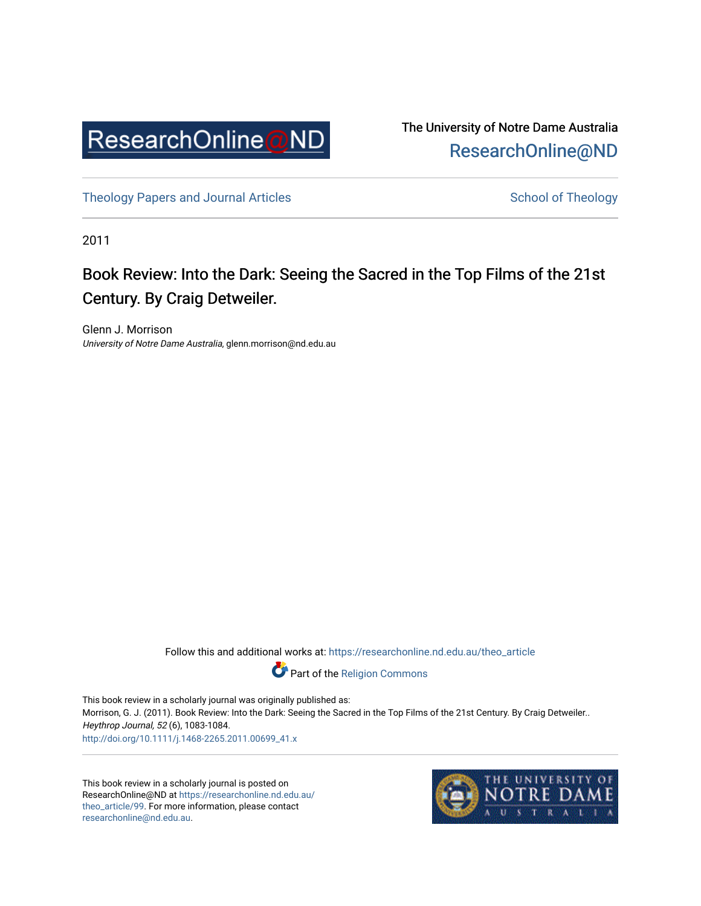

The University of Notre Dame Australia [ResearchOnline@ND](https://researchonline.nd.edu.au/) 

[Theology Papers and Journal Articles](https://researchonline.nd.edu.au/theo_article) and [School of Theology](https://researchonline.nd.edu.au/theo) School of Theology

2011

## Book Review: Into the Dark: Seeing the Sacred in the Top Films of the 21st Century. By Craig Detweiler.

Glenn J. Morrison University of Notre Dame Australia, glenn.morrison@nd.edu.au

Follow this and additional works at: [https://researchonline.nd.edu.au/theo\\_article](https://researchonline.nd.edu.au/theo_article?utm_source=researchonline.nd.edu.au%2Ftheo_article%2F99&utm_medium=PDF&utm_campaign=PDFCoverPages) 

Part of the [Religion Commons](http://network.bepress.com/hgg/discipline/538?utm_source=researchonline.nd.edu.au%2Ftheo_article%2F99&utm_medium=PDF&utm_campaign=PDFCoverPages) 

This book review in a scholarly journal was originally published as: Morrison, G. J. (2011). Book Review: Into the Dark: Seeing the Sacred in the Top Films of the 21st Century. By Craig Detweiler.. Heythrop Journal, 52 (6), 1083-1084. [http://doi.org/10.1111/j.1468-2265.2011.00699\\_41.x](http://doi.org/10.1111/j.1468-2265.2011.00699_41.x) 

This book review in a scholarly journal is posted on ResearchOnline@ND at [https://researchonline.nd.edu.au/](https://researchonline.nd.edu.au/theo_article/99) [theo\\_article/99.](https://researchonline.nd.edu.au/theo_article/99) For more information, please contact [researchonline@nd.edu.au.](mailto:researchonline@nd.edu.au)

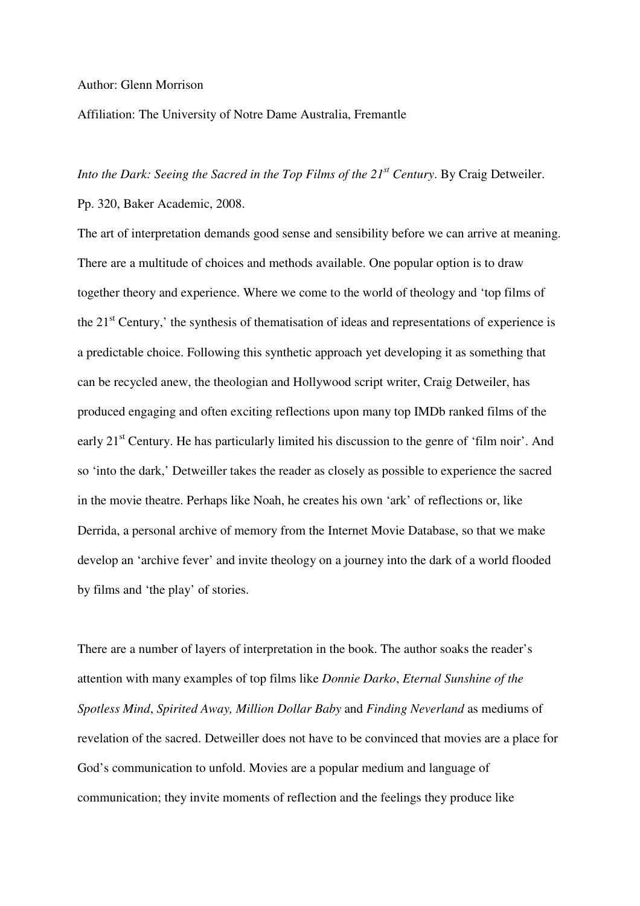## Author: Glenn Morrison

## Affiliation: The University of Notre Dame Australia, Fremantle

## *Into the Dark: Seeing the Sacred in the Top Films of the 21st Century*. By Craig Detweiler.

Pp. 320, Baker Academic, 2008.

The art of interpretation demands good sense and sensibility before we can arrive at meaning. There are a multitude of choices and methods available. One popular option is to draw together theory and experience. Where we come to the world of theology and 'top films of the  $21<sup>st</sup>$  Century,' the synthesis of thematisation of ideas and representations of experience is a predictable choice. Following this synthetic approach yet developing it as something that can be recycled anew, the theologian and Hollywood script writer, Craig Detweiler, has produced engaging and often exciting reflections upon many top IMDb ranked films of the early 21<sup>st</sup> Century. He has particularly limited his discussion to the genre of 'film noir'. And so 'into the dark,' Detweiller takes the reader as closely as possible to experience the sacred in the movie theatre. Perhaps like Noah, he creates his own 'ark' of reflections or, like Derrida, a personal archive of memory from the Internet Movie Database, so that we make develop an 'archive fever' and invite theology on a journey into the dark of a world flooded by films and 'the play' of stories.

There are a number of layers of interpretation in the book. The author soaks the reader's attention with many examples of top films like *Donnie Darko*, *Eternal Sunshine of the Spotless Mind*, *Spirited Away, Million Dollar Baby* and *Finding Neverland* as mediums of revelation of the sacred. Detweiller does not have to be convinced that movies are a place for God's communication to unfold. Movies are a popular medium and language of communication; they invite moments of reflection and the feelings they produce like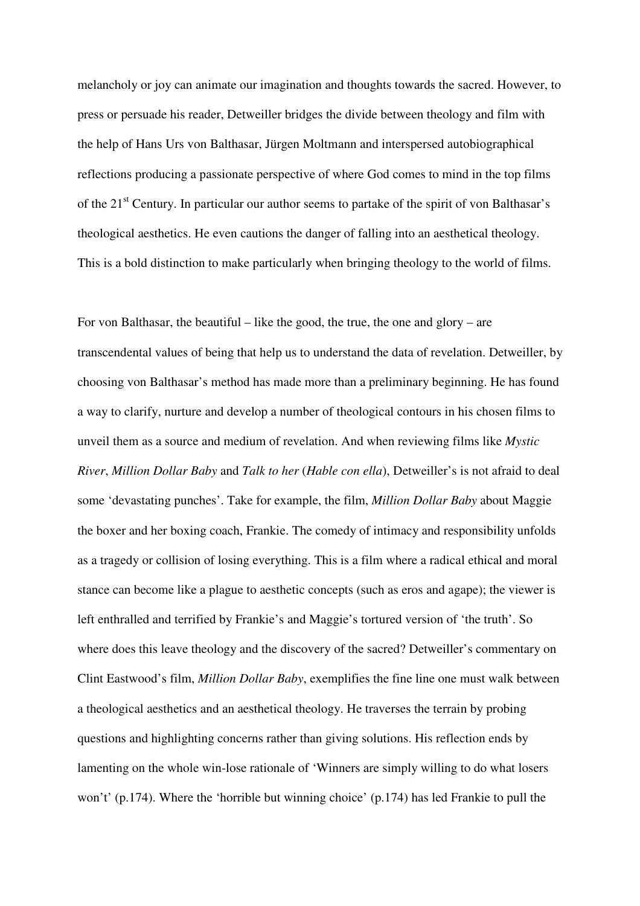melancholy or joy can animate our imagination and thoughts towards the sacred. However, to press or persuade his reader, Detweiller bridges the divide between theology and film with the help of Hans Urs von Balthasar, Jürgen Moltmann and interspersed autobiographical reflections producing a passionate perspective of where God comes to mind in the top films of the 21<sup>st</sup> Century. In particular our author seems to partake of the spirit of von Balthasar's theological aesthetics. He even cautions the danger of falling into an aesthetical theology. This is a bold distinction to make particularly when bringing theology to the world of films.

For von Balthasar, the beautiful – like the good, the true, the one and glory – are transcendental values of being that help us to understand the data of revelation. Detweiller, by choosing von Balthasar's method has made more than a preliminary beginning. He has found a way to clarify, nurture and develop a number of theological contours in his chosen films to unveil them as a source and medium of revelation. And when reviewing films like *Mystic River*, *Million Dollar Baby* and *Talk to her* (*Hable con ella*), Detweiller's is not afraid to deal some 'devastating punches'. Take for example, the film, *Million Dollar Baby* about Maggie the boxer and her boxing coach, Frankie. The comedy of intimacy and responsibility unfolds as a tragedy or collision of losing everything. This is a film where a radical ethical and moral stance can become like a plague to aesthetic concepts (such as eros and agape); the viewer is left enthralled and terrified by Frankie's and Maggie's tortured version of 'the truth'. So where does this leave theology and the discovery of the sacred? Detweiller's commentary on Clint Eastwood's film, *Million Dollar Baby*, exemplifies the fine line one must walk between a theological aesthetics and an aesthetical theology. He traverses the terrain by probing questions and highlighting concerns rather than giving solutions. His reflection ends by lamenting on the whole win-lose rationale of 'Winners are simply willing to do what losers won't' (p.174). Where the 'horrible but winning choice' (p.174) has led Frankie to pull the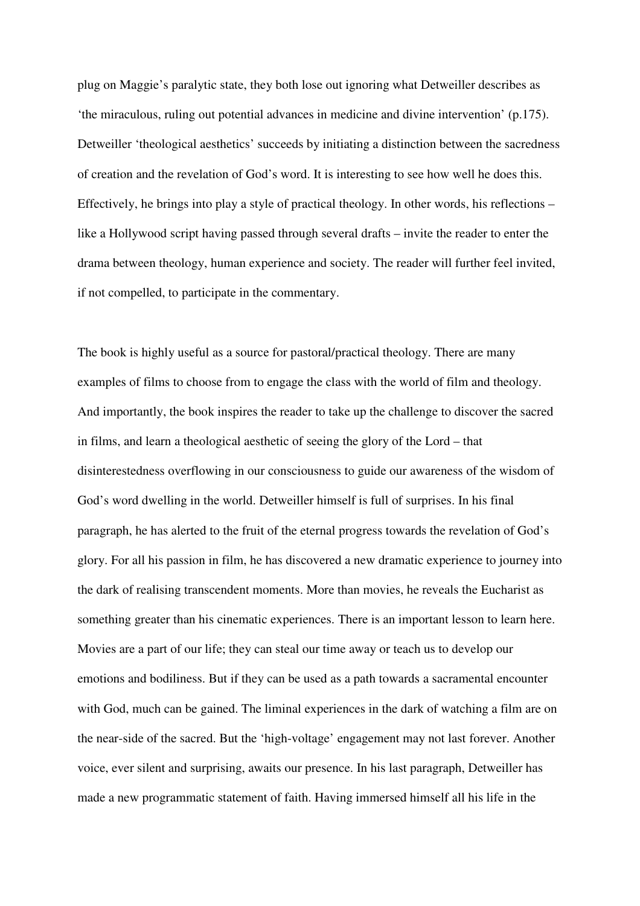plug on Maggie's paralytic state, they both lose out ignoring what Detweiller describes as 'the miraculous, ruling out potential advances in medicine and divine intervention' (p.175). Detweiller 'theological aesthetics' succeeds by initiating a distinction between the sacredness of creation and the revelation of God's word. It is interesting to see how well he does this. Effectively, he brings into play a style of practical theology. In other words, his reflections – like a Hollywood script having passed through several drafts – invite the reader to enter the drama between theology, human experience and society. The reader will further feel invited, if not compelled, to participate in the commentary.

The book is highly useful as a source for pastoral/practical theology. There are many examples of films to choose from to engage the class with the world of film and theology. And importantly, the book inspires the reader to take up the challenge to discover the sacred in films, and learn a theological aesthetic of seeing the glory of the Lord – that disinterestedness overflowing in our consciousness to guide our awareness of the wisdom of God's word dwelling in the world. Detweiller himself is full of surprises. In his final paragraph, he has alerted to the fruit of the eternal progress towards the revelation of God's glory. For all his passion in film, he has discovered a new dramatic experience to journey into the dark of realising transcendent moments. More than movies, he reveals the Eucharist as something greater than his cinematic experiences. There is an important lesson to learn here. Movies are a part of our life; they can steal our time away or teach us to develop our emotions and bodiliness. But if they can be used as a path towards a sacramental encounter with God, much can be gained. The liminal experiences in the dark of watching a film are on the near-side of the sacred. But the 'high-voltage' engagement may not last forever. Another voice, ever silent and surprising, awaits our presence. In his last paragraph, Detweiller has made a new programmatic statement of faith. Having immersed himself all his life in the